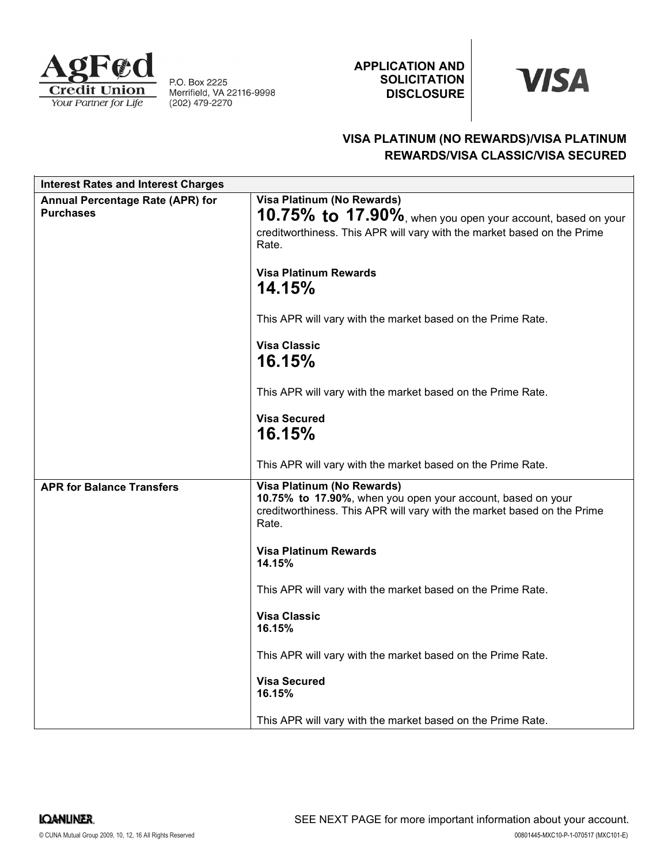

P.O. Box 2225 Merrifield, VA 22116-9998<br>(202) 479-2270 APPLICATION AND **SOLICITATION DISCLOSURE** 

# **VISA**

## VISA PLATINUM (NO REWARDS)/VISA PLATINUM REWARDS/VISA CLASSIC/VISA SECURED

| <b>Interest Rates and Interest Charges</b>           |                                                                                                                                                                                                                                                                                                                                                                                                                                                                                        |
|------------------------------------------------------|----------------------------------------------------------------------------------------------------------------------------------------------------------------------------------------------------------------------------------------------------------------------------------------------------------------------------------------------------------------------------------------------------------------------------------------------------------------------------------------|
| Annual Percentage Rate (APR) for<br><b>Purchases</b> | Visa Platinum (No Rewards)<br>10.75% to 17.90%, when you open your account, based on your<br>creditworthiness. This APR will vary with the market based on the Prime<br>Rate.<br><b>Visa Platinum Rewards</b><br><b>14.15%</b><br>This APR will vary with the market based on the Prime Rate.                                                                                                                                                                                          |
|                                                      | <b>Visa Classic</b><br>16.15%<br>This APR will vary with the market based on the Prime Rate.<br><b>Visa Secured</b><br>16.15%<br>This APR will vary with the market based on the Prime Rate.                                                                                                                                                                                                                                                                                           |
| <b>APR for Balance Transfers</b>                     | Visa Platinum (No Rewards)<br>10.75% to 17.90%, when you open your account, based on your<br>creditworthiness. This APR will vary with the market based on the Prime<br>Rate.<br><b>Visa Platinum Rewards</b><br>14.15%<br>This APR will vary with the market based on the Prime Rate.<br><b>Visa Classic</b><br>16.15%<br>This APR will vary with the market based on the Prime Rate.<br><b>Visa Secured</b><br>16.15%<br>This APR will vary with the market based on the Prime Rate. |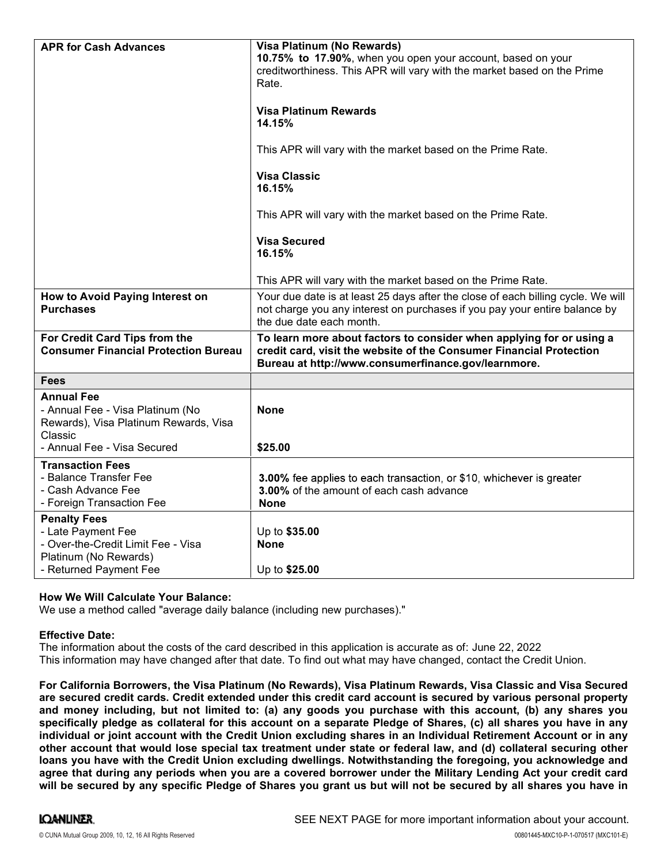| <b>APR for Cash Advances</b>                                                                                                             | Visa Platinum (No Rewards)<br>10.75% to 17.90%, when you open your account, based on your<br>creditworthiness. This APR will vary with the market based on the Prime<br>Rate.<br><b>Visa Platinum Rewards</b><br>14.15%<br>This APR will vary with the market based on the Prime Rate.<br><b>Visa Classic</b><br>16.15%<br>This APR will vary with the market based on the Prime Rate.<br><b>Visa Secured</b><br>16.15%<br>This APR will vary with the market based on the Prime Rate. |
|------------------------------------------------------------------------------------------------------------------------------------------|----------------------------------------------------------------------------------------------------------------------------------------------------------------------------------------------------------------------------------------------------------------------------------------------------------------------------------------------------------------------------------------------------------------------------------------------------------------------------------------|
| How to Avoid Paying Interest on<br><b>Purchases</b>                                                                                      | Your due date is at least 25 days after the close of each billing cycle. We will<br>not charge you any interest on purchases if you pay your entire balance by<br>the due date each month.                                                                                                                                                                                                                                                                                             |
| For Credit Card Tips from the<br><b>Consumer Financial Protection Bureau</b>                                                             | To learn more about factors to consider when applying for or using a<br>credit card, visit the website of the Consumer Financial Protection<br>Bureau at http://www.consumerfinance.gov/learnmore.                                                                                                                                                                                                                                                                                     |
| <b>Fees</b>                                                                                                                              |                                                                                                                                                                                                                                                                                                                                                                                                                                                                                        |
| <b>Annual Fee</b><br>- Annual Fee - Visa Platinum (No<br>Rewards), Visa Platinum Rewards, Visa<br>Classic<br>- Annual Fee - Visa Secured | <b>None</b><br>\$25.00                                                                                                                                                                                                                                                                                                                                                                                                                                                                 |
| <b>Transaction Fees</b><br>- Balance Transfer Fee<br>- Cash Advance Fee<br>- Foreign Transaction Fee                                     | 3.00% fee applies to each transaction, or \$10, whichever is greater<br>3.00% of the amount of each cash advance<br><b>None</b>                                                                                                                                                                                                                                                                                                                                                        |
| <b>Penalty Fees</b><br>- Late Payment Fee<br>- Over-the-Credit Limit Fee - Visa<br>Platinum (No Rewards)<br>- Returned Payment Fee       | Up to \$35.00<br><b>None</b><br>Up to \$25.00                                                                                                                                                                                                                                                                                                                                                                                                                                          |

### How We Will Calculate Your Balance:

We use a method called "average daily balance (including new purchases)."

#### Effective Date:

The information about the costs of the card described in this application is accurate as of: June 22, 2022This information may have changed after that date. To find out what may have changed, contact the Credit Union.

For California Borrowers, the Visa Platinum (No Rewards), Visa Platinum Rewards, Visa Classic and Visa Secured are secured credit cards. Credit extended under this credit card account is secured by various personal property and money including, but not limited to: (a) any goods you purchase with this account, (b) any shares you specifically pledge as collateral for this account on a separate Pledge of Shares, (c) all shares you have in any individual or joint account with the Credit Union excluding shares in an Individual Retirement Account or in any other account that would lose special tax treatment under state or federal law, and (d) collateral securing other loans you have with the Credit Union excluding dwellings. Notwithstanding the foregoing, you acknowledge and agree that during any periods when you are a covered borrower under the Military Lending Act your credit card will be secured by any specific Pledge of Shares you grant us but will not be secured by all shares you have in